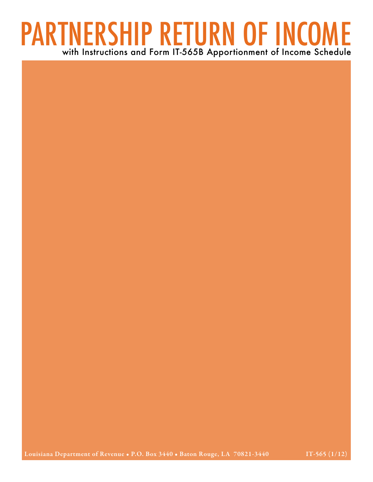# PARTNERSHIP RETURN OF INCOME with Instructions and Form IT-565B Apportionment of Income Schedule

Louisiana Department of Revenue • P.O. Box 3440 • Baton Rouge, LA 70821-3440 IT-565 (1/12)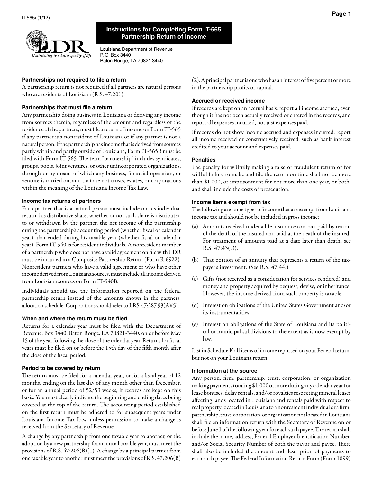

# **Instructions for Completing Form IT-565 Partnership Return of Income**

Louisiana Department of Revenue P. O. Box 3440 Baton Rouge, LA 70821-3440

# **Partnerships not required to file a return**

A partnership return is not required if all partners are natural persons who are residents of Louisiana (R.S. 47:201).

# **Partnerships that must file a return**

Any partnership doing business in Louisiana or deriving any income from sources therein, regardless of the amount and regardless of the residence of the partners, must file a return of income on Form IT-565 if any partner is a nonresident of Louisiana or if any partner is not a natural person. If the partnership has income that is derived from sources partly within and partly outside of Louisiana, Form IT-565B must be filed with Form IT-565. The term "partnership" includes syndicates, groups, pools, joint ventures, or other unincorporated organizations, through or by means of which any business, financial operation, or venture is carried on, and that are not trusts, estates, or corporations within the meaning of the Louisiana Income Tax Law.

# **Income tax returns of partners**

Each partner that is a natural person must include on his individual return, his distributive share, whether or not such share is distributed to or withdrawn by the partner, the net income of the partnership during the partnership's accounting period (whether fiscal or calendar year), that ended during his taxable year (whether fiscal or calendar year). Form IT-540 is for resident individuals. A nonresident member of a partnership who does not have a valid agreement on file with LDR must be included in a Composite Partnership Return (Form R-6922). Nonresident partners who have a valid agreement or who have other income derived from Louisiana sources, must include all income derived from Louisiana sources on Form IT-540B.

Individuals should use the information reported on the federal partnership return instead of the amounts shown in the partners' allocation schedule. Corporations should refer to LRS-47:287.93(A)(5).

# **When and where the return must be filed**

Returns for a calendar year must be filed with the Department of Revenue, Box 3440, Baton Rouge, LA 70821-3440, on or before May 15 of the year following the close of the calendar year. Returns for fiscal years must be filed on or before the 15th day of the fifth month after the close of the fiscal period.

# **Period to be covered by return**

The return must be filed for a calendar year, or for a fiscal year of 12 months, ending on the last day of any month other than December, or for an annual period of 52/53 weeks, if records are kept on this basis. You must clearly indicate the beginning and ending dates being covered at the top of the return. The accounting period established on the first return must be adhered to for subsequent years under Louisiana Income Tax Law, unless permission to make a change is received from the Secretary of Revenue.

A change by any partnership from one taxable year to another, or the adoption by a new partnership for an initial taxable year, must meet the provisions of R.S.  $47:206(B)(1)$ . A change by a principal partner from one taxable year to another must meet the provisions of R.S. 47:206(B)

(2). A principal partner is one who has an interest of five percent or more in the partnership profits or capital.

# **Accrued or received income**

If records are kept on an accrual basis, report all income accrued, even though it has not been actually received or entered in the records, and report all expenses incurred, not just expenses paid.

If records do not show income accrued and expenses incurred, report all income received or constructively received, such as bank interest credited to your account and expenses paid.

## **Penalties**

The penalty for willfully making a false or fraudulent return or for willful failure to make and file the return on time shall not be more than \$1,000, or imprisonment for not more than one year, or both, and shall include the costs of prosecution.

## **Income items exempt from tax**

The following are some types of income that are exempt from Louisiana income tax and should not be included in gross income:

- (a) Amounts received under a life insurance contract paid by reason of the death of the insured and paid at the death of the insured. For treatment of amounts paid at a date later than death, see R.S. 47:43(D).
- (b) That portion of an annuity that represents a return of the taxpayer's investment. (See R.S. 47:44.)
- (c) Gifts (not received as a consideration for services rendered) and money and property acquired by bequest, devise, or inheritance. However, the income derived from such property is taxable.
- (d) Interest on obligations of the United States Government and/or its instrumentalities.
- (e) Interest on obligations of the State of Louisiana and its political or municipal subdivisions to the extent as is now exempt by law.

List in Schedule K all items of income reported on your Federal return, but not on your Louisiana return.

## **Information at the source**

Any person, firm, partnership, trust, corporation, or organization making payments totaling \$1,000 or more during any calendar year for lease bonuses, delay rentals, and/or royalties respecting mineral leases affecting lands located in Louisiana and rentals paid with respect to real property located in Louisiana to a nonresident individual or a firm, partnership, trust, corporation, or organization not located in Louisiana shall file an information return with the Secretary of Revenue on or before June 1 of the following year for each such payee. The return shall include the name, address, Federal Employer Identification Number, and/or Social Security Number of both the payor and payee. There shall also be included the amount and description of payments to each such payee. The Federal Information Return Form (Form 1099)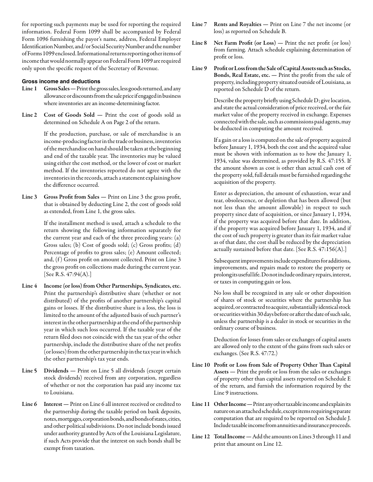for reporting such payments may be used for reporting the required information. Federal Form 1099 shall be accompanied by Federal Form 1096 furnishing the payor's name, address, Federal Employer Identification Number, and/or Social Security Number and the number of Forms 1099 enclosed. Informational returns reporting other items of income that would normally appear on Federal Form 1099 are required only upon the specific request of the Secretary of Revenue.

# **Gross income and deductions**

- Line 1 Gross Sales Print the gross sales, less goods returned, and any allowance or discounts from the sale price if engaged in business where inventories are an income-determining factor.
- Line 2 Cost of Goods Sold Print the cost of goods sold as determined on Schedule A on Page 2 of the return.

If the production, purchase, or sale of merchandise is an income-producing factor in the trade or business, inventories of the merchandise on hand should be taken at the beginning and end of the taxable year. The inventories may be valued using either the cost method, or the lower of cost or market method. If the inventories reported do not agree with the inventories in the records, attach a statement explaining how the difference occurred.

Line 3 Gross Profit from Sales — Print on Line 3 the gross profit, that is obtained by deducting Line 2, the cost of goods sold as extended, from Line 1, the gross sales.

> If the installment method is used, attach a schedule to the return showing the following information separately for the current year and each of the three preceding years: (a) Gross sales; (b) Cost of goods sold; (c) Gross profits; (d) Percentage of profits to gross sales; (e) Amount collected; and,  $(f)$  Gross profit on amount collected. Print on Line 3 the gross profit on collections made during the current year. [See R.S.  $47:94(A).$ ]

- Line 4 Income (or loss) from Other Partnerships, Syndicates, etc. Print the partnership's distributive share (whether or not distributed) of the profits of another partnership's capital gains or losses. If the distributive share is a loss, the loss is limited to the amount of the adjusted basis of such partner's interest in the other partnership at the end of the partnership year in which such loss occurred. If the taxable year of the return filed does not coincide with the tax year of the other partnership, include the distributive share of the net profits (or losses) from the other partnership in the tax year in which the other partnership's tax year ends.
- Line 5 Dividends Print on Line 5 all dividends (except certain stock dividends) received from any corporation, regardless of whether or not the corporation has paid any income tax to Louisiana.
- Line 6 Interest Print on Line 6 all interest received or credited to the partnership during the taxable period on bank deposits, notes, mortgages, corporation bonds, and bonds of states, cities, and other political subdivisions. Do not include bonds issued under authority granted by Acts of the Louisiana Legislature, if such Acts provide that the interest on such bonds shall be exempt from taxation.
- Line 7 Rents and Royalties Print on Line 7 the net income (or loss) as reported on Schedule B.
- Line 8 Net Farm Profit (or Loss) Print the net profit (or loss) from farming. Attach schedule explaining determination of profit or loss.
- Line 9 Profit or Loss from the Sale of Capital Assets such as Stocks, Bonds, Real Estate, etc. — Print the profit from the sale of property, including property situated outside of Louisiana, as reported on Schedule D of the return.

Describe the property briefly using Schedule D; give location, and state the actual consideration of price received, or the fair market value of the property received in exchange. Expenses connected with the sale, such as commissions paid agents, may be deducted in computing the amount received.

If a gain or a loss is computed on the sale of property acquired before January 1, 1934, both the cost and the acquired value must be shown with information as to how the January 1, 1934, value was determined, as provided by R.S. 47:155. If the amount shown as cost is other than actual cash cost of the property sold, full details must be furnished regarding the acquisition of the property.

Enter as depreciation, the amount of exhaustion, wear and tear, obsolescence, or depletion that has been allowed (but not less than the amount allowable) in respect to such property since date of acquisition, or since January 1, 1934, if the property was acquired before that date. In addition, if the property was acquired before January 1, 1934, and if the cost of such property is greater than its fair market value as of that date, the cost shall be reduced by the depreciation actually sustained before that date. [See R.S.  $47:156(A).$ ]

Subsequent improvements include expenditures for additions, improvements, and repairs made to restore the property or prolong its useful life. Do not include ordinary repairs, interest, or taxes in computing gain or loss.

No loss shall be recognized in any sale or other disposition of shares of stock or securities where the partnership has acquired, or contracted to acquire, substantially identical stock or securities within 30 days before or after the date of such sale, unless the partnership is a dealer in stock or securities in the ordinary course of business.

Deduction for losses from sales or exchanges of capital assets are allowed only to the extent of the gains from such sales or exchanges. (See R.S. 47:72.)

- Line 10 Profit or Loss from Sale of Property Other Than Capital Assets — Print the profit or loss from the sales or exchanges of property other than capital assets reported on Schedule E of the return, and furnish the information required by the Line 9 instructions.
- Line 11 Other Income Print any other taxable income and explain its nature on an attached schedule, except items requiring separate computation that are required to be reported on Schedule J. Include taxable income from annuities and insurance proceeds.
- Line 12 Total Income Add the amounts on Lines 3 through 11 and print that amount on Line 12.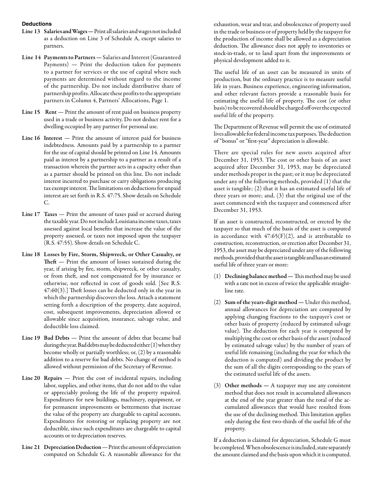# **Deductions**

- Line 13 Salaries and Wages Print all salaries and wages not included as a deduction on Line 3 of Schedule A, except salaries to partners.
- Line 14 Payments to Partners Salaries and Interest (Guaranteed Payments) — Print the deduction taken for payments to a partner for services or the use of capital where such payments are determined without regard to the income of the partnership. Do not include distributive share of partnership profits. Allocate these profits to the appropriate partners in Column 4, Partners' Allocations, Page 1.
- Line 15 Rent Print the amount of rent paid on business property used in a trade or business activity. Do not deduct rent for a dwelling occupied by any partner for personal use.
- Line 16 Interest Print the amount of interest paid for business indebtedness. Amounts paid by a partnership to a partner for the use of capital should be printed on Line 14. Amounts paid as interest by a partnership to a partner as a result of a transaction wherein the partner acts in a capacity other than as a partner should be printed on this line. Do not include interest incurred to purchase or carry obligations producing tax exempt interest. The limitations on deductions for unpaid interest are set forth in R.S. 47:75. Show details on Schedule C.
- Line 17 Taxes Print the amount of taxes paid or accrued during the taxable year. Do not include Louisiana income taxes, taxes assessed against local benefits that increase the value of the property assessed, or taxes not imposed upon the taxpayer (R.S. 47:55). Show details on Schedule C.
- Line 18 Losses by Fire, Storm, Shipwreck, or Other Casualty, or Theft — Print the amount of losses sustained during the year, if arising by fire, storm, shipwreck, or other casualty, or from theft, and not compensated for by insurance or otherwise, nor reflected in cost of goods sold. [See R.S. 47:60(3).] Theft losses can be deducted only in the year in which the partnership discovers the loss. Attach a statement setting forth a description of the property, date acquired, cost, subsequent improvements, depreciation allowed or allowable since acquisition, insurance, salvage value, and deductible loss claimed.
- Line 19 Bad Debts Print the amount of debts that became bad during the year. Bad debts may be deducted either (1) when they become wholly or partially worthless; or, (2) by a reasonable addition to a reserve for bad debts. No change of method is allowed without permission of the Secretary of Revenue.
- Line 20 Repairs Print the cost of incidental repairs, including labor, supplies, and other items, that do not add to the value or appreciably prolong the life of the property repaired. Expenditures for new buildings, machinery, equipment, or for permanent improvements or betterments that increase the value of the property are chargeable to capital accounts. Expenditures for restoring or replacing property are not deductible, since such expenditures are chargeable to capital accounts or to depreciation reserves.
- Line 21 Depreciation Deduction Print the amount of depreciation computed on Schedule G. A reasonable allowance for the

exhaustion, wear and tear, and obsolescence of property used in the trade or business or of property held by the taxpayer for the production of income shall be allowed as a depreciation deduction. The allowance does not apply to inventories or stock-in-trade, or to land apart from the improvements or physical development added to it.

The useful life of an asset can be measured in units of production, but the ordinary practice is to measure useful life in years. Business experience, engineering information, and other relevant factors provide a reasonable basis for estimating the useful life of property. The cost (or other basis) to be recovered should be charged off over the expected useful life of the property.

The Department of Revenue will permit the use of estimated lives allowable for federal income tax purposes. The deduction of "bonus" or "first-year" depreciation is allowable.

There are special rules for new assets acquired after December 31, 1953. The cost or other basis of an asset acquired after December 31, 1953, may be depreciated under methods proper in the past; or it may be depreciated under any of the following methods, provided (1) that the asset is tangible; (2) that it has an estimated useful life of three years or more; and, (3) that the original use of the asset commenced with the taxpayer and commenced after December 31, 1953.

If an asset is constructed, reconstructed, or erected by the taxpayer so that much of the basis of the asset is computed in accordance with  $47:65(F)(2)$ , and is attributable to construction, reconstruction, or erection after December 31, 1953, the asset may be depreciated under any of the following methods, provided that the asset is tangible and has an estimated useful life of three years or more:

- (1) Declining balance method This method may be used with a rate not in excess of twice the applicable straightline rate.
- (2) Sum of the years-digit method Under this method, annual allowances for depreciation are computed by applying changing fractions to the taxpayer's cost or other basis of property (reduced by estimated salvage value). The deduction for each year is computed by multiplying the cost or other basis of the asset (reduced by estimated salvage value) by the number of years of useful life remaining (including the year for which the deduction is computed) and dividing the product by the sum of all the digits corresponding to the years of the estimated useful life of the assets.
- (3) Other methods A taxpayer may use any consistent method that does not result in accumulated allowances at the end of the year greater than the total of the accumulated allowances that would have resulted from the use of the declining method. This limitation applies only during the first two-thirds of the useful life of the property.

If a deduction is claimed for depreciation, Schedule G must be completed. When obsolescence is included, state separately the amount claimed and the basis upon which it is computed.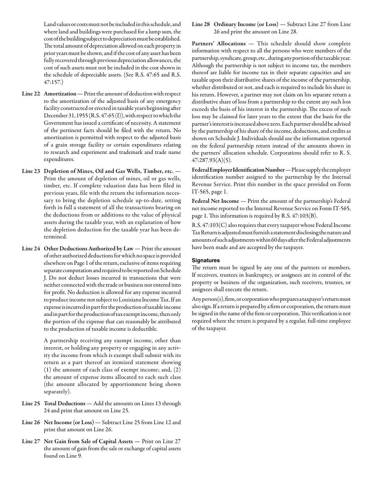Land values or costs must not be included in this schedule, and where land and buildings were purchased for a lump sum, the cost of the building subject to depreciation must be established. The total amount of depreciation allowed on each property in prior years must be shown, and if the cost of any asset has been fully recovered through previous depreciation allowances, the cost of such assets must not be included in the cost shown in the schedule of depreciable assets. (See R.S. 47:65 and R.S. 47:157.)

- Line 22 Amortization Print the amount of deduction with respect to the amortization of the adjusted basis of any emergency facility constructed or erected in taxable years beginning after December 31, 1955 (R.S. 47:65 (I)), with respect to which the Government has issued a certificate of necessity. A statement of the pertinent facts should be filed with the return. No amortization is permitted with respect to the adjusted basis of a grain storage facility or certain expenditures relating to research and experiment and trademark and trade name expenditures.
- Line 23 Depletion of Mines, Oil and Gas Wells, Timber, etc. Print the amount of depletion of mines, oil or gas wells, timber, etc. If complete valuation data has been filed in previous years, file with the return the information necessary to bring the depletion schedule up-to-date, setting forth in full a statement of all the transactions bearing on the deductions from or additions to the value of physical assets during the taxable year, with an explanation of how the depletion deduction for the taxable year has been determined.
- Line 24 Other Deductions Authorized by Law Print the amount of other authorized deductions for which no space is provided elsewhere on Page 1 of the return, exclusive of items requiring separate computation and required to be reported on Schedule J. Do not deduct losses incurred in transactions that were neither connected with the trade or business nor entered into for profit. No deduction is allowed for any expense incurred to produce income not subject to Louisiana Income Tax. If an expense is incurred in part for the production of taxable income and in part for the production of tax exempt income, then only the portion of the expense that can reasonably be attributed to the production of taxable income is deductible.

A partnership receiving any exempt income, other than interest, or holding any property or engaging in any activity the income from which is exempt shall submit with its return as a part thereof an itemized statement showing (1) the amount of each class of exempt income; and, (2) the amount of expense items allocated to each such class (the amount allocated by apportionment being shown separately).

- Line 25 Total Deductions Add the amounts on Lines 13 through 24 and print that amount on Line 25.
- Line 26 Net Income (or Loss) Subtract Line 25 from Line 12 and print that amount on Line 26.
- Line 27 Net Gain from Sale of Capital Assets Print on Line 27 the amount of gain from the sale or exchange of capital assets found on Line 9.

Line 28 Ordinary Income (or Loss) — Subtract Line 27 from Line 26 and print the amount on Line 28.

Partners' Allocations — This schedule should show complete information with respect to all the persons who were members of the partnership, syndicate, group, etc., during any portion of the taxable year. Although the partnership is not subject to income tax, the members thereof are liable for income tax in their separate capacities and are taxable upon their distributive shares of the income of the partnership, whether distributed or not, and each is required to include his share in his return. However, a partner may not claim on his separate return a distributive share of loss from a partnership to the extent any such loss exceeds the basis of his interest in the partnership. The excess of such loss may be claimed for later years to the extent that the basis for the partner's interest is increased above zero. Each partner should be advised by the partnership of his share of the income, deductions, and credits as shown on Schedule J. Individuals should use the information reported on the federal partnership return instead of the amounts shown in the partners' allocation schedule. Corporations should refer to R. S. 47:287.93(A)(5).

Federal Employer Identification Number — Please supply the employer identification number assigned to the partnership by the Internal Revenue Service. Print this number in the space provided on Form IT-565, page 1.

Federal Net Income — Print the amount of the partnership's Federal net income reported to the Internal Revenue Service on Form IT-565, page 1. This information is required by R.S. 47:103(B).

R.S. 47:103(C) also requires that every taxpayer whose Federal Income Tax Return is adjusted must furnish a statement disclosing the nature and amounts of such adjustments within 60 days after the Federal adjustments have been made and are accepted by the taxpayer.

# **Signatures**

The return must be signed by any one of the partners or members. If receivers, trustees in bankruptcy, or assignees are in control of the property or business of the organization, such receivers, trustees, or assignees shall execute the return.

Any person(s), firm, or corporation who prepares a taxpayer's return must also sign. If a return is prepared by a firm or corporation, the return must be signed in the name of the firm or corporation. This verification is not required where the return is prepared by a regular, full-time employee of the taxpayer.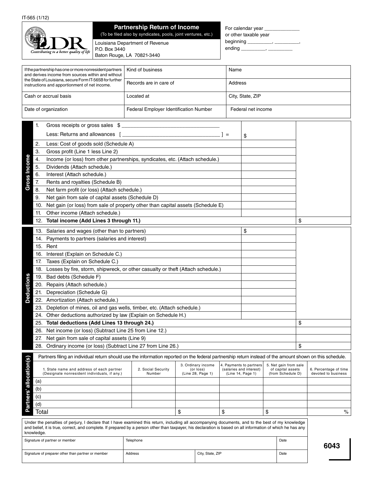|                                                | <b>Partnership Return of Income</b><br>(To be filed also by syndicates, pools, joint ventures, etc.) | For calendar year<br>or other taxable year   |
|------------------------------------------------|------------------------------------------------------------------------------------------------------|----------------------------------------------|
| 7R<br>Contributing to a better quality of life | Louisiana Department of Revenue<br>P.O. Box 3440<br>Baton Rouge, LA 70821-3440                       | beginning ____________, __________<br>ending |

|                                                         |                                                                                           | If the partnership has one or more nonresident partners<br>and derives income from sources within and without                                                                                                                                                                                                    | Kind of business       |    |                    | Name    |                         |    |                                            |    |                       |
|---------------------------------------------------------|-------------------------------------------------------------------------------------------|------------------------------------------------------------------------------------------------------------------------------------------------------------------------------------------------------------------------------------------------------------------------------------------------------------------|------------------------|----|--------------------|---------|-------------------------|----|--------------------------------------------|----|-----------------------|
|                                                         |                                                                                           | the State of Louisiana, secure Form IT-565B for further<br>instructions and apportionment of net income.                                                                                                                                                                                                         | Records are in care of |    |                    | Address |                         |    |                                            |    |                       |
| Cash or accrual basis<br>Located at<br>City, State, ZIP |                                                                                           |                                                                                                                                                                                                                                                                                                                  |                        |    |                    |         |                         |    |                                            |    |                       |
|                                                         | Date of organization<br>Federal Employer Identification Number<br>Federal net income      |                                                                                                                                                                                                                                                                                                                  |                        |    |                    |         |                         |    |                                            |    |                       |
|                                                         | 1.                                                                                        | Gross receipts or gross sales \$                                                                                                                                                                                                                                                                                 |                        |    |                    |         |                         |    |                                            |    |                       |
|                                                         |                                                                                           | Less: Returns and allowances                                                                                                                                                                                                                                                                                     |                        |    |                    | $1 =$   |                         |    |                                            |    |                       |
|                                                         |                                                                                           |                                                                                                                                                                                                                                                                                                                  |                        |    |                    |         | \$                      |    |                                            |    |                       |
|                                                         | 2.                                                                                        | Less: Cost of goods sold (Schedule A)                                                                                                                                                                                                                                                                            |                        |    |                    |         |                         |    |                                            |    |                       |
|                                                         | 3.                                                                                        | Gross profit (Line 1 less Line 2)                                                                                                                                                                                                                                                                                |                        |    |                    |         |                         |    |                                            |    |                       |
| <b>Gross Income</b>                                     | 4.                                                                                        | Income (or loss) from other partnerships, syndicates, etc. (Attach schedule.)                                                                                                                                                                                                                                    |                        |    |                    |         |                         |    |                                            |    |                       |
|                                                         | 5.                                                                                        | Dividends (Attach schedule.)                                                                                                                                                                                                                                                                                     |                        |    |                    |         |                         |    |                                            |    |                       |
|                                                         | 6.<br>7.                                                                                  | Interest (Attach schedule.)<br>Rents and royalties (Schedule B)                                                                                                                                                                                                                                                  |                        |    |                    |         |                         |    |                                            |    |                       |
|                                                         | 8.                                                                                        | Net farm profit (or loss) (Attach schedule.)                                                                                                                                                                                                                                                                     |                        |    |                    |         |                         |    |                                            |    |                       |
|                                                         | 9.                                                                                        | Net gain from sale of capital assets (Schedule D)                                                                                                                                                                                                                                                                |                        |    |                    |         |                         |    |                                            |    |                       |
|                                                         | 10.                                                                                       | Net gain (or loss) from sale of property other than capital assets (Schedule E)                                                                                                                                                                                                                                  |                        |    |                    |         |                         |    |                                            |    |                       |
|                                                         | 11.                                                                                       | Other income (Attach schedule.)                                                                                                                                                                                                                                                                                  |                        |    |                    |         |                         |    |                                            |    |                       |
|                                                         | 12.                                                                                       | Total income (Add Lines 3 through 11.)                                                                                                                                                                                                                                                                           |                        |    |                    |         |                         |    |                                            | \$ |                       |
|                                                         |                                                                                           |                                                                                                                                                                                                                                                                                                                  |                        |    |                    |         |                         |    |                                            |    |                       |
|                                                         |                                                                                           | 13. Salaries and wages (other than to partners)                                                                                                                                                                                                                                                                  |                        |    |                    |         | \$                      |    |                                            |    |                       |
|                                                         |                                                                                           | 14. Payments to partners (salaries and interest)                                                                                                                                                                                                                                                                 |                        |    |                    |         |                         |    |                                            |    |                       |
|                                                         |                                                                                           | 15. Rent                                                                                                                                                                                                                                                                                                         |                        |    |                    |         |                         |    |                                            |    |                       |
|                                                         | 17.                                                                                       | Interest (Explain on Schedule C.)<br>16.                                                                                                                                                                                                                                                                         |                        |    |                    |         |                         |    |                                            |    |                       |
|                                                         |                                                                                           | Taxes (Explain on Schedule C.)                                                                                                                                                                                                                                                                                   |                        |    |                    |         |                         |    |                                            |    |                       |
|                                                         | 19.                                                                                       | 18. Losses by fire, storm, shipwreck, or other casualty or theft (Attach schedule.)                                                                                                                                                                                                                              |                        |    |                    |         |                         |    |                                            |    |                       |
|                                                         | 20.                                                                                       | Bad debts (Schedule F)<br>Repairs (Attach schedule.)                                                                                                                                                                                                                                                             |                        |    |                    |         |                         |    |                                            |    |                       |
|                                                         | 21.                                                                                       | Depreciation (Schedule G)                                                                                                                                                                                                                                                                                        |                        |    |                    |         |                         |    |                                            |    |                       |
| <b>Deductions</b>                                       |                                                                                           | 22. Amortization (Attach schedule.)                                                                                                                                                                                                                                                                              |                        |    |                    |         |                         |    |                                            |    |                       |
|                                                         |                                                                                           | 23. Depletion of mines, oil and gas wells, timber, etc. (Attach schedule.)                                                                                                                                                                                                                                       |                        |    |                    |         |                         |    |                                            |    |                       |
|                                                         |                                                                                           | 24. Other deductions authorized by law (Explain on Schedule H.)                                                                                                                                                                                                                                                  |                        |    |                    |         |                         |    |                                            |    |                       |
|                                                         |                                                                                           | 25. Total deductions (Add Lines 13 through 24.)                                                                                                                                                                                                                                                                  |                        |    |                    |         |                         |    |                                            | \$ |                       |
|                                                         |                                                                                           | 26. Net income (or loss) (Subtract Line 25 from Line 12.)                                                                                                                                                                                                                                                        |                        |    |                    |         |                         |    |                                            |    |                       |
|                                                         |                                                                                           | 27. Net gain from sale of capital assets (Line 9)                                                                                                                                                                                                                                                                |                        |    |                    |         |                         |    |                                            |    |                       |
|                                                         |                                                                                           | 28. Ordinary income (or loss) (Subtract Line 27 from Line 26.)                                                                                                                                                                                                                                                   |                        |    |                    |         |                         |    |                                            | \$ |                       |
|                                                         |                                                                                           | Partners filing an individual return should use the information reported on the federal partnership return instead of the amount shown on this schedule.                                                                                                                                                         |                        |    |                    |         |                         |    |                                            |    |                       |
| Partners' allocation(s)                                 |                                                                                           |                                                                                                                                                                                                                                                                                                                  |                        |    | 3. Ordinary income |         | 4. Payments to partners |    |                                            |    |                       |
|                                                         |                                                                                           | 1. State name and address of each partner                                                                                                                                                                                                                                                                        | 2. Social Security     |    | (or loss)          |         | (salaries and interest) |    | 5. Net gain from sale<br>of capital assets |    | 6. Percentage of time |
|                                                         |                                                                                           | (Designate nonresident individuals, if any.)                                                                                                                                                                                                                                                                     | Number                 |    | (Line 28, Page 1)  |         | (Line 14, Page 1)       |    | (from Schedule D)                          |    | devoted to business   |
|                                                         | (a)                                                                                       |                                                                                                                                                                                                                                                                                                                  |                        |    |                    |         |                         |    |                                            |    |                       |
|                                                         | (b)                                                                                       |                                                                                                                                                                                                                                                                                                                  |                        |    |                    |         |                         |    |                                            |    |                       |
|                                                         | (c)<br>(d)                                                                                |                                                                                                                                                                                                                                                                                                                  |                        |    |                    |         |                         |    |                                            |    |                       |
|                                                         | Total                                                                                     |                                                                                                                                                                                                                                                                                                                  |                        | \$ |                    | \$      |                         | \$ |                                            |    | $\%$                  |
|                                                         |                                                                                           |                                                                                                                                                                                                                                                                                                                  |                        |    |                    |         |                         |    |                                            |    |                       |
|                                                         | knowledge.                                                                                | Under the penalties of perjury, I declare that I have examined this return, including all accompanying documents, and to the best of my knowledge<br>and belief, it is true, correct, and complete. If prepared by a person other than taxpayer, his declaration is based on all information of which he has any |                        |    |                    |         |                         |    |                                            |    |                       |
|                                                         |                                                                                           | Signature of partner or member                                                                                                                                                                                                                                                                                   | Telephone              |    |                    |         |                         |    | Date                                       |    | 6043                  |
|                                                         | City, State, ZIP<br>Signature of preparer other than partner or member<br>Address<br>Date |                                                                                                                                                                                                                                                                                                                  |                        |    |                    |         |                         |    |                                            |    |                       |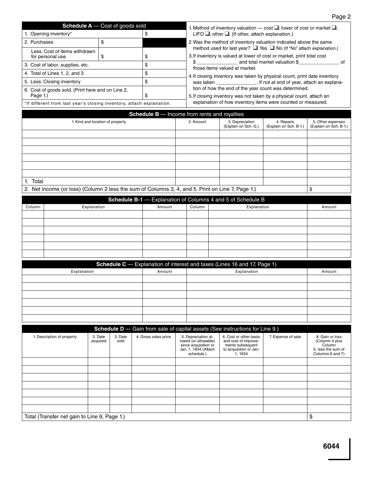| Schedule A - Cost of goods sold<br>1. Opening inventory*<br>\$                                   |             |                      |                                                                                                           |                                                                   | 1. Method of inventory valuation — cost $\Box$ ; lower of cost or market $\Box$ ;<br>LIFO $\Box$ ; other $\Box$ . (If other, attach explanation.) |                    |                                                                                                                                                    |                        |                        |  |
|--------------------------------------------------------------------------------------------------|-------------|----------------------|-----------------------------------------------------------------------------------------------------------|-------------------------------------------------------------------|---------------------------------------------------------------------------------------------------------------------------------------------------|--------------------|----------------------------------------------------------------------------------------------------------------------------------------------------|------------------------|------------------------|--|
| 2. Purchases<br>\$                                                                               |             |                      |                                                                                                           | 2. Was the method of inventory valuation indicated above the same |                                                                                                                                                   |                    |                                                                                                                                                    |                        |                        |  |
| Less: Cost of items withdrawn<br>\$<br>for personal use<br>\$                                    |             |                      |                                                                                                           |                                                                   |                                                                                                                                                   |                    | method used for last year? ■ Yes ■ No (If "No" attach explanation.)<br>3. If inventory is valued at lower of cost or market, print total cost      |                        |                        |  |
| 3. Cost of labor, supplies, etc.                                                                 |             |                      |                                                                                                           | \$                                                                |                                                                                                                                                   |                    |                                                                                                                                                    |                        |                        |  |
| 4. Total of Lines 1, 2, and 3                                                                    |             |                      |                                                                                                           | \$                                                                |                                                                                                                                                   |                    | those items valued at market.                                                                                                                      |                        |                        |  |
| 5. Less: Closing inventory                                                                       |             |                      |                                                                                                           | \$                                                                |                                                                                                                                                   |                    | 4. If closing inventory was taken by physical count, print date inventory<br>was taken ________________. If not at end of year, attach an explana- |                        |                        |  |
| 6. Cost of goods sold. (Print here and on Line 2,                                                |             |                      |                                                                                                           |                                                                   |                                                                                                                                                   |                    | tion of how the end of the year count was determined.                                                                                              |                        |                        |  |
| Page $1$ .)                                                                                      |             |                      |                                                                                                           | \$                                                                |                                                                                                                                                   |                    | 5. If closing inventory was not taken by a physical count, attach an                                                                               |                        |                        |  |
| *If different from last year's closing inventory, attach explanation.                            |             |                      |                                                                                                           |                                                                   |                                                                                                                                                   |                    | explanation of how inventory items were counted or measured.                                                                                       |                        |                        |  |
|                                                                                                  |             |                      |                                                                                                           | Schedule B - Income from rents and royalties                      |                                                                                                                                                   |                    |                                                                                                                                                    |                        |                        |  |
| 1. Kind and location of property                                                                 |             |                      |                                                                                                           |                                                                   | 2. Amount                                                                                                                                         |                    | 3. Depreciation                                                                                                                                    | 4. Repairs             | 5. Other expenses      |  |
|                                                                                                  |             |                      |                                                                                                           |                                                                   |                                                                                                                                                   |                    | (Explain on Sch. G.)                                                                                                                               | (Explain on Sch. B-1.) | (Explain on Sch. B-1.) |  |
|                                                                                                  |             |                      |                                                                                                           |                                                                   |                                                                                                                                                   |                    |                                                                                                                                                    |                        |                        |  |
|                                                                                                  |             |                      |                                                                                                           |                                                                   |                                                                                                                                                   |                    |                                                                                                                                                    |                        |                        |  |
|                                                                                                  |             |                      |                                                                                                           |                                                                   |                                                                                                                                                   |                    |                                                                                                                                                    |                        |                        |  |
|                                                                                                  |             |                      |                                                                                                           |                                                                   |                                                                                                                                                   |                    |                                                                                                                                                    |                        |                        |  |
|                                                                                                  |             |                      |                                                                                                           |                                                                   |                                                                                                                                                   |                    |                                                                                                                                                    |                        |                        |  |
| Total<br>1.                                                                                      |             |                      |                                                                                                           |                                                                   |                                                                                                                                                   |                    |                                                                                                                                                    |                        |                        |  |
| 2. Net income (or loss) (Column 2 less the sum of Columns 3, 4, and 5. Print on Line 7, Page 1.) |             |                      |                                                                                                           |                                                                   |                                                                                                                                                   |                    |                                                                                                                                                    |                        | \$                     |  |
|                                                                                                  |             |                      |                                                                                                           |                                                                   |                                                                                                                                                   |                    | Schedule B-1 - Explanation of Columns 4 and 5 of Schedule B                                                                                        |                        |                        |  |
| Column                                                                                           | Explanation |                      |                                                                                                           | Amount                                                            | Column                                                                                                                                            |                    | Explanation                                                                                                                                        |                        | Amount                 |  |
|                                                                                                  |             |                      |                                                                                                           |                                                                   |                                                                                                                                                   |                    |                                                                                                                                                    |                        |                        |  |
|                                                                                                  |             |                      |                                                                                                           |                                                                   |                                                                                                                                                   |                    |                                                                                                                                                    |                        |                        |  |
|                                                                                                  |             |                      |                                                                                                           |                                                                   |                                                                                                                                                   |                    |                                                                                                                                                    |                        |                        |  |
|                                                                                                  |             |                      |                                                                                                           |                                                                   |                                                                                                                                                   |                    |                                                                                                                                                    |                        |                        |  |
|                                                                                                  |             |                      |                                                                                                           |                                                                   |                                                                                                                                                   |                    |                                                                                                                                                    |                        |                        |  |
|                                                                                                  |             |                      |                                                                                                           |                                                                   |                                                                                                                                                   |                    |                                                                                                                                                    |                        |                        |  |
|                                                                                                  |             |                      |                                                                                                           |                                                                   |                                                                                                                                                   |                    | Schedule C - Explanation of interest and taxes (Lines 16 and 17, Page 1)                                                                           |                        |                        |  |
| Explanation                                                                                      |             |                      |                                                                                                           | Amount                                                            |                                                                                                                                                   |                    | Explanation                                                                                                                                        |                        | Amount                 |  |
|                                                                                                  |             |                      |                                                                                                           |                                                                   |                                                                                                                                                   |                    |                                                                                                                                                    |                        |                        |  |
|                                                                                                  |             |                      |                                                                                                           |                                                                   |                                                                                                                                                   |                    |                                                                                                                                                    |                        |                        |  |
|                                                                                                  |             |                      |                                                                                                           |                                                                   |                                                                                                                                                   |                    |                                                                                                                                                    |                        |                        |  |
|                                                                                                  |             |                      |                                                                                                           |                                                                   |                                                                                                                                                   |                    |                                                                                                                                                    |                        |                        |  |
|                                                                                                  |             |                      |                                                                                                           |                                                                   |                                                                                                                                                   |                    |                                                                                                                                                    |                        |                        |  |
|                                                                                                  |             |                      |                                                                                                           |                                                                   |                                                                                                                                                   |                    |                                                                                                                                                    |                        |                        |  |
|                                                                                                  |             | Schedule D-          |                                                                                                           |                                                                   |                                                                                                                                                   |                    | Gain from sale of capital assets (See instructions for Line 9.)                                                                                    |                        |                        |  |
| 3. Date<br>1. Description of property<br>2. Date<br>sold<br>acquired                             |             | 4. Gross sales price | 5. Depreciation al-<br>lowed (or allowable)<br>since acquisition or<br>Jan. 1, 1934 (Attach<br>schedule.) |                                                                   | 6. Cost or other basis<br>and cost of improve-<br>ments subsequent<br>to acquisition or Jan.<br>1, 1934                                           | 7. Expense of sale | 8. Gain or loss<br>(Column 4 plus<br>Column<br>5, less the sum of<br>Columns 6 and 7)                                                              |                        |                        |  |
|                                                                                                  |             |                      |                                                                                                           |                                                                   |                                                                                                                                                   |                    |                                                                                                                                                    |                        |                        |  |
|                                                                                                  |             |                      |                                                                                                           |                                                                   |                                                                                                                                                   |                    |                                                                                                                                                    |                        |                        |  |
|                                                                                                  |             |                      |                                                                                                           |                                                                   |                                                                                                                                                   |                    |                                                                                                                                                    |                        |                        |  |
|                                                                                                  |             |                      |                                                                                                           |                                                                   |                                                                                                                                                   |                    |                                                                                                                                                    |                        |                        |  |
|                                                                                                  |             |                      |                                                                                                           |                                                                   |                                                                                                                                                   |                    |                                                                                                                                                    |                        |                        |  |
|                                                                                                  |             |                      |                                                                                                           |                                                                   |                                                                                                                                                   |                    |                                                                                                                                                    |                        |                        |  |
| Total (Transfer net gain to Line 9, Page 1.)                                                     |             |                      |                                                                                                           |                                                                   |                                                                                                                                                   |                    |                                                                                                                                                    |                        | \$                     |  |
|                                                                                                  |             |                      |                                                                                                           |                                                                   |                                                                                                                                                   |                    |                                                                                                                                                    |                        |                        |  |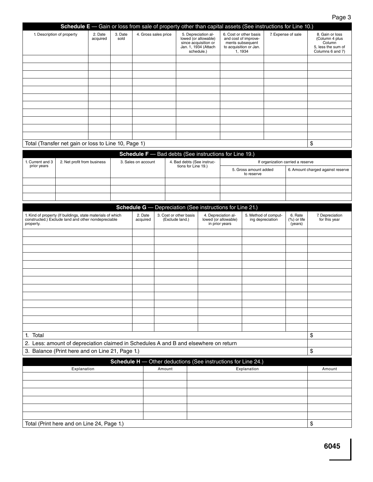|                                                                      | Schedule E - Gain or loss from sale of property other than capital assets (See instructions for Line 10.)          |                      |                                                                  |  |                                                                                                           |                                                   |                                                                                                         |                                                               |                                                  |                                                                                       |                                      |                                   |
|----------------------------------------------------------------------|--------------------------------------------------------------------------------------------------------------------|----------------------|------------------------------------------------------------------|--|-----------------------------------------------------------------------------------------------------------|---------------------------------------------------|---------------------------------------------------------------------------------------------------------|---------------------------------------------------------------|--------------------------------------------------|---------------------------------------------------------------------------------------|--------------------------------------|-----------------------------------|
| 1. Description of property<br>2. Date<br>3. Date<br>sold<br>acquired |                                                                                                                    | 4. Gross sales price |                                                                  |  | 5. Depreciation al-<br>lowed (or allowable)<br>since acquisition or<br>Jan. 1, 1934 (Attach<br>schedule.) |                                                   | 6. Cost or other basis<br>and cost of improve-<br>ments subsequent<br>to acquisition or Jan.<br>1, 1934 |                                                               | 7. Expense of sale                               | 8. Gain or loss<br>(Column 4 plus<br>Column<br>5, less the sum of<br>Columns 6 and 7) |                                      |                                   |
|                                                                      |                                                                                                                    |                      |                                                                  |  |                                                                                                           |                                                   |                                                                                                         |                                                               |                                                  |                                                                                       |                                      |                                   |
|                                                                      |                                                                                                                    |                      |                                                                  |  |                                                                                                           |                                                   |                                                                                                         |                                                               |                                                  |                                                                                       |                                      |                                   |
|                                                                      |                                                                                                                    |                      |                                                                  |  |                                                                                                           |                                                   |                                                                                                         |                                                               |                                                  |                                                                                       |                                      |                                   |
|                                                                      |                                                                                                                    |                      |                                                                  |  |                                                                                                           |                                                   |                                                                                                         |                                                               |                                                  |                                                                                       |                                      |                                   |
|                                                                      |                                                                                                                    |                      |                                                                  |  |                                                                                                           |                                                   |                                                                                                         |                                                               |                                                  |                                                                                       |                                      |                                   |
|                                                                      |                                                                                                                    |                      |                                                                  |  |                                                                                                           |                                                   |                                                                                                         |                                                               |                                                  |                                                                                       |                                      |                                   |
|                                                                      |                                                                                                                    |                      |                                                                  |  |                                                                                                           |                                                   |                                                                                                         |                                                               |                                                  |                                                                                       |                                      |                                   |
|                                                                      |                                                                                                                    |                      |                                                                  |  |                                                                                                           |                                                   |                                                                                                         |                                                               |                                                  |                                                                                       |                                      |                                   |
|                                                                      |                                                                                                                    |                      |                                                                  |  |                                                                                                           |                                                   |                                                                                                         |                                                               |                                                  |                                                                                       |                                      |                                   |
|                                                                      |                                                                                                                    |                      |                                                                  |  |                                                                                                           |                                                   |                                                                                                         |                                                               |                                                  |                                                                                       |                                      |                                   |
|                                                                      |                                                                                                                    |                      |                                                                  |  |                                                                                                           |                                                   |                                                                                                         |                                                               |                                                  |                                                                                       |                                      |                                   |
|                                                                      | Total (Transfer net gain or loss to Line 10, Page 1)                                                               |                      |                                                                  |  |                                                                                                           |                                                   |                                                                                                         |                                                               |                                                  |                                                                                       |                                      | \$                                |
|                                                                      |                                                                                                                    |                      |                                                                  |  |                                                                                                           |                                                   |                                                                                                         |                                                               |                                                  |                                                                                       |                                      |                                   |
|                                                                      |                                                                                                                    |                      | Schedule F - Bad debts (See instructions for Line 19.)           |  |                                                                                                           |                                                   |                                                                                                         |                                                               |                                                  |                                                                                       |                                      |                                   |
| 1. Current and 3<br>prior years                                      | 2. Net profit from business                                                                                        |                      | 3. Sales on account                                              |  |                                                                                                           | 4. Bad debts (See instruc-<br>tions for Line 19.) |                                                                                                         |                                                               |                                                  |                                                                                       | If organization carried a reserve    |                                   |
|                                                                      |                                                                                                                    |                      |                                                                  |  |                                                                                                           |                                                   |                                                                                                         |                                                               | 5. Gross amount added<br>to reserve              |                                                                                       |                                      | 6. Amount charged against reserve |
|                                                                      |                                                                                                                    |                      |                                                                  |  |                                                                                                           |                                                   |                                                                                                         |                                                               |                                                  |                                                                                       |                                      |                                   |
|                                                                      |                                                                                                                    |                      |                                                                  |  |                                                                                                           |                                                   |                                                                                                         |                                                               |                                                  |                                                                                       |                                      |                                   |
|                                                                      |                                                                                                                    |                      |                                                                  |  |                                                                                                           |                                                   |                                                                                                         |                                                               |                                                  |                                                                                       |                                      |                                   |
|                                                                      |                                                                                                                    |                      | <b>Schedule G</b> — Depreciation (See instructions for Line 21.) |  |                                                                                                           |                                                   |                                                                                                         |                                                               |                                                  |                                                                                       |                                      |                                   |
| property.                                                            | 1. Kind of property (If buildings, state materials of which<br>constructed.) Exclude land and other nondepreciable |                      | 2. Date<br>acquired                                              |  | (Exclude land.)                                                                                           | 3. Cost or other basis                            |                                                                                                         | 4. Depreciation al-<br>lowed (or allowable)<br>in prior years | 5. Method of comput-                             | ing depreciation                                                                      | 6. Rate<br>$(\%)$ or life<br>(years) | 7. Depreciation<br>for this year  |
|                                                                      |                                                                                                                    |                      |                                                                  |  |                                                                                                           |                                                   |                                                                                                         |                                                               |                                                  |                                                                                       |                                      |                                   |
|                                                                      |                                                                                                                    |                      |                                                                  |  |                                                                                                           |                                                   |                                                                                                         |                                                               |                                                  |                                                                                       |                                      |                                   |
|                                                                      |                                                                                                                    |                      |                                                                  |  |                                                                                                           |                                                   |                                                                                                         |                                                               |                                                  |                                                                                       |                                      |                                   |
|                                                                      |                                                                                                                    |                      |                                                                  |  |                                                                                                           |                                                   |                                                                                                         |                                                               |                                                  |                                                                                       |                                      |                                   |
|                                                                      |                                                                                                                    |                      |                                                                  |  |                                                                                                           |                                                   |                                                                                                         |                                                               |                                                  |                                                                                       |                                      |                                   |
|                                                                      |                                                                                                                    |                      |                                                                  |  |                                                                                                           |                                                   |                                                                                                         |                                                               |                                                  |                                                                                       |                                      |                                   |
|                                                                      |                                                                                                                    |                      |                                                                  |  |                                                                                                           |                                                   |                                                                                                         |                                                               |                                                  |                                                                                       |                                      |                                   |
|                                                                      |                                                                                                                    |                      |                                                                  |  |                                                                                                           |                                                   |                                                                                                         |                                                               |                                                  |                                                                                       |                                      |                                   |
|                                                                      |                                                                                                                    |                      |                                                                  |  |                                                                                                           |                                                   |                                                                                                         |                                                               |                                                  |                                                                                       |                                      |                                   |
|                                                                      |                                                                                                                    |                      |                                                                  |  |                                                                                                           |                                                   |                                                                                                         |                                                               |                                                  |                                                                                       |                                      |                                   |
|                                                                      |                                                                                                                    |                      |                                                                  |  |                                                                                                           |                                                   |                                                                                                         |                                                               |                                                  |                                                                                       |                                      |                                   |
|                                                                      |                                                                                                                    |                      |                                                                  |  |                                                                                                           |                                                   |                                                                                                         |                                                               |                                                  |                                                                                       |                                      |                                   |
|                                                                      |                                                                                                                    |                      |                                                                  |  |                                                                                                           |                                                   |                                                                                                         |                                                               |                                                  |                                                                                       |                                      |                                   |
| 1. Total                                                             |                                                                                                                    |                      |                                                                  |  |                                                                                                           |                                                   |                                                                                                         |                                                               |                                                  |                                                                                       |                                      | \$                                |
|                                                                      | 2. Less: amount of depreciation claimed in Schedules A and B and elsewhere on return                               |                      |                                                                  |  |                                                                                                           |                                                   |                                                                                                         |                                                               |                                                  |                                                                                       |                                      |                                   |
|                                                                      | 3. Balance (Print here and on Line 21, Page 1.)                                                                    |                      |                                                                  |  |                                                                                                           |                                                   |                                                                                                         |                                                               |                                                  |                                                                                       |                                      | \$                                |
|                                                                      |                                                                                                                    |                      |                                                                  |  |                                                                                                           |                                                   |                                                                                                         |                                                               |                                                  |                                                                                       |                                      |                                   |
|                                                                      |                                                                                                                    | Schedule H-          |                                                                  |  |                                                                                                           |                                                   |                                                                                                         |                                                               | Other deductions (See instructions for Line 24.) |                                                                                       |                                      |                                   |
|                                                                      |                                                                                                                    |                      |                                                                  |  | Amount                                                                                                    |                                                   |                                                                                                         |                                                               | Explanation                                      |                                                                                       |                                      | Amount                            |
|                                                                      | Explanation                                                                                                        |                      |                                                                  |  |                                                                                                           |                                                   |                                                                                                         |                                                               |                                                  |                                                                                       |                                      |                                   |
|                                                                      |                                                                                                                    |                      |                                                                  |  |                                                                                                           |                                                   |                                                                                                         |                                                               |                                                  |                                                                                       |                                      |                                   |
|                                                                      |                                                                                                                    |                      |                                                                  |  |                                                                                                           |                                                   |                                                                                                         |                                                               |                                                  |                                                                                       |                                      |                                   |
|                                                                      |                                                                                                                    |                      |                                                                  |  |                                                                                                           |                                                   |                                                                                                         |                                                               |                                                  |                                                                                       |                                      |                                   |
|                                                                      |                                                                                                                    |                      |                                                                  |  |                                                                                                           |                                                   |                                                                                                         |                                                               |                                                  |                                                                                       |                                      |                                   |
|                                                                      |                                                                                                                    |                      |                                                                  |  |                                                                                                           |                                                   |                                                                                                         |                                                               |                                                  |                                                                                       |                                      |                                   |
|                                                                      | Total (Print here and on Line 24, Page 1.)                                                                         |                      |                                                                  |  |                                                                                                           |                                                   |                                                                                                         |                                                               |                                                  |                                                                                       |                                      | \$                                |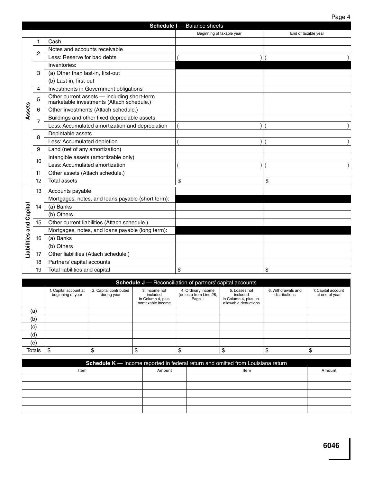|             |                |                                                                                          | Schedule I - Balance sheets |                     |
|-------------|----------------|------------------------------------------------------------------------------------------|-----------------------------|---------------------|
|             |                |                                                                                          | Beginning of taxable year   | End of taxable year |
|             | 1              | Cash                                                                                     |                             |                     |
|             | 2              | Notes and accounts receivable                                                            |                             |                     |
|             |                | Less: Reserve for bad debts                                                              |                             |                     |
|             |                | Inventories:                                                                             |                             |                     |
|             | 3              | (a) Other than last-in, first-out                                                        |                             |                     |
|             |                | (b) Last-in, first-out                                                                   |                             |                     |
|             | 4              | Investments in Government obligations                                                    |                             |                     |
|             | 5              | Other current assets - including short-term<br>marketable investments (Attach schedule.) |                             |                     |
| Assets      | 6              | Other investments (Attach schedule.)                                                     |                             |                     |
|             | $\overline{7}$ | Buildings and other fixed depreciable assets                                             |                             |                     |
|             |                | Less: Accumulated amortization and depreciation                                          |                             |                     |
|             | 8              | Depletable assets                                                                        |                             |                     |
|             |                | Less: Accumulated depletion                                                              |                             |                     |
|             | 9              | Land (net of any amortization)                                                           |                             |                     |
|             | 10             | Intangible assets (amortizable only)                                                     |                             |                     |
|             |                | Less: Accumulated amortization                                                           |                             |                     |
|             | 11             | Other assets (Attach schedule.)                                                          |                             |                     |
|             | 12             | <b>Total assets</b>                                                                      | \$                          | \$                  |
|             | 13             | Accounts payable                                                                         |                             |                     |
|             |                | Mortgages, notes, and loans payable (short term):                                        |                             |                     |
|             | 14             | (a) Banks                                                                                |                             |                     |
|             |                | (b) Others                                                                               |                             |                     |
| and Capital | 15             | Other current liabilities (Attach schedule.)                                             |                             |                     |
|             |                | Mortgages, notes, and loans payable (long term):                                         |                             |                     |
|             | 16             | (a) Banks                                                                                |                             |                     |
|             |                | (b) Others                                                                               |                             |                     |
| Liabilities | 17             | Other liabilities (Attach schedule.)                                                     |                             |                     |
|             | 18             | Partners' capital accounts                                                               |                             |                     |
|             | 19             | Total liabilities and capital                                                            | \$                          | \$                  |

|        | <b>Schedule J</b> — Reconciliation of partners' capital accounts |                                       |                                                                     |                                                         |                                                                            |                                     |                                      |  |  |  |
|--------|------------------------------------------------------------------|---------------------------------------|---------------------------------------------------------------------|---------------------------------------------------------|----------------------------------------------------------------------------|-------------------------------------|--------------------------------------|--|--|--|
|        | 1. Capital account at<br>beginning of year                       | 2. Capital contributed<br>during year | 3. Income not<br>included<br>in Column 4, plus<br>nontaxable income | 4. Ordinary income<br>(or loss) from Line 28,<br>Page 1 | 5. Losses not<br>included<br>in Column 4, plus un-<br>allowable deductions | 6. Withdrawals and<br>distributions | 7. Capital account<br>at end of year |  |  |  |
| (a)    |                                                                  |                                       |                                                                     |                                                         |                                                                            |                                     |                                      |  |  |  |
| (b)    |                                                                  |                                       |                                                                     |                                                         |                                                                            |                                     |                                      |  |  |  |
| (c)    |                                                                  |                                       |                                                                     |                                                         |                                                                            |                                     |                                      |  |  |  |
| (d)    |                                                                  |                                       |                                                                     |                                                         |                                                                            |                                     |                                      |  |  |  |
| (e)    |                                                                  |                                       |                                                                     |                                                         |                                                                            |                                     |                                      |  |  |  |
| Totals |                                                                  |                                       |                                                                     |                                                         |                                                                            |                                     | ጦ                                    |  |  |  |

| Schedule K - Income reported in federal return and omitted from Louisiana return |        |      |        |  |  |  |  |  |  |
|----------------------------------------------------------------------------------|--------|------|--------|--|--|--|--|--|--|
| Item                                                                             | Amount | Item | Amount |  |  |  |  |  |  |
|                                                                                  |        |      |        |  |  |  |  |  |  |
|                                                                                  |        |      |        |  |  |  |  |  |  |
|                                                                                  |        |      |        |  |  |  |  |  |  |
|                                                                                  |        |      |        |  |  |  |  |  |  |
|                                                                                  |        |      |        |  |  |  |  |  |  |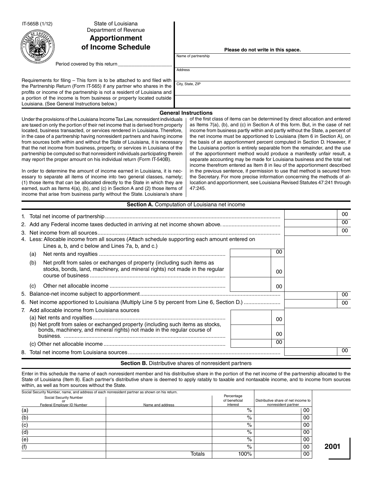| State of Louisiana<br>IT-565B (1/12)<br>Department of Revenue<br><b>Apportionment</b>                                                                                                                                                                                                                                                                                                                                                                                                                                                                                                                                                                                                                                                                                                                                                                                                                                                                                                                                                                             |                                                        |                                    |                                                                                                                                                                                                                                                                                                                                                                                                                                                                                                                                                                                                                                                                                                                                                                                                                                                                                                                                                                       |
|-------------------------------------------------------------------------------------------------------------------------------------------------------------------------------------------------------------------------------------------------------------------------------------------------------------------------------------------------------------------------------------------------------------------------------------------------------------------------------------------------------------------------------------------------------------------------------------------------------------------------------------------------------------------------------------------------------------------------------------------------------------------------------------------------------------------------------------------------------------------------------------------------------------------------------------------------------------------------------------------------------------------------------------------------------------------|--------------------------------------------------------|------------------------------------|-----------------------------------------------------------------------------------------------------------------------------------------------------------------------------------------------------------------------------------------------------------------------------------------------------------------------------------------------------------------------------------------------------------------------------------------------------------------------------------------------------------------------------------------------------------------------------------------------------------------------------------------------------------------------------------------------------------------------------------------------------------------------------------------------------------------------------------------------------------------------------------------------------------------------------------------------------------------------|
| of Income Schedule                                                                                                                                                                                                                                                                                                                                                                                                                                                                                                                                                                                                                                                                                                                                                                                                                                                                                                                                                                                                                                                |                                                        |                                    |                                                                                                                                                                                                                                                                                                                                                                                                                                                                                                                                                                                                                                                                                                                                                                                                                                                                                                                                                                       |
|                                                                                                                                                                                                                                                                                                                                                                                                                                                                                                                                                                                                                                                                                                                                                                                                                                                                                                                                                                                                                                                                   | Name of partnership                                    | Please do not write in this space. |                                                                                                                                                                                                                                                                                                                                                                                                                                                                                                                                                                                                                                                                                                                                                                                                                                                                                                                                                                       |
| Period covered by this return                                                                                                                                                                                                                                                                                                                                                                                                                                                                                                                                                                                                                                                                                                                                                                                                                                                                                                                                                                                                                                     |                                                        |                                    |                                                                                                                                                                                                                                                                                                                                                                                                                                                                                                                                                                                                                                                                                                                                                                                                                                                                                                                                                                       |
|                                                                                                                                                                                                                                                                                                                                                                                                                                                                                                                                                                                                                                                                                                                                                                                                                                                                                                                                                                                                                                                                   | Address                                                |                                    |                                                                                                                                                                                                                                                                                                                                                                                                                                                                                                                                                                                                                                                                                                                                                                                                                                                                                                                                                                       |
| Requirements for filing – This form is to be attached to and filed with<br>the Partnership Return (Form IT-565) if any partner who shares in the<br>profits or income of the partnership is not a resident of Louisiana and<br>a portion of the income is from business or property located outside<br>Louisiana. (See General Instructions below.)                                                                                                                                                                                                                                                                                                                                                                                                                                                                                                                                                                                                                                                                                                               | City, State, ZIP                                       |                                    |                                                                                                                                                                                                                                                                                                                                                                                                                                                                                                                                                                                                                                                                                                                                                                                                                                                                                                                                                                       |
|                                                                                                                                                                                                                                                                                                                                                                                                                                                                                                                                                                                                                                                                                                                                                                                                                                                                                                                                                                                                                                                                   | <b>General Instructions</b>                            |                                    |                                                                                                                                                                                                                                                                                                                                                                                                                                                                                                                                                                                                                                                                                                                                                                                                                                                                                                                                                                       |
| Under the provisions of the Louisiana Income Tax Law, nonresident individuals<br>are taxed on only the portion of their net income that is derived from property<br>located, business transacted, or services rendered in Louisiana. Therefore,<br>in the case of a partnership having nonresident partners and having income<br>from sources both within and without the State of Louisiana, it is necessary<br>that the net income from business, property, or services in Louisiana of the<br>partnership be computed so that nonresident individuals participating therein<br>may report the proper amount on his individual return (Form IT-540B).<br>In order to determine the amount of income earned in Louisiana, it is nec-<br>essary to separate all items of income into two general classes, namely;<br>(1) those items that can be allocated directly to the State in which they are<br>earned, such as Items 4(a), (b), and (c) in Section A and (2) those items of<br>income that arise from business partly without the State. Louisiana's share | 47:245.                                                |                                    | of the first class of items can be determined by direct allocation and entered<br>as Items 7(a), (b), and (c) in Section A of this form. But, in the case of net<br>income from business partly within and partly without the State, a percent of<br>the net income must be apportioned to Louisiana (Item 6 in Section A), on<br>the basis of an apportionment percent computed in Section D. However, if<br>the Louisiana portion is entirely separable from the remainder, and the use<br>of the apportionment method would produce a manifestly unfair result, a<br>separate accounting may be made for Louisiana business and the total net<br>income therefrom entered as Item 8 in lieu of the apportionment described<br>in the previous sentence, if permission to use that method is secured from<br>the Secretary. For more precise information concerning the methods of al-<br>location and apportionment, see Louisiana Revised Statutes 47:241 through |
|                                                                                                                                                                                                                                                                                                                                                                                                                                                                                                                                                                                                                                                                                                                                                                                                                                                                                                                                                                                                                                                                   | Section A. Computation of Louisiana net income         |                                    |                                                                                                                                                                                                                                                                                                                                                                                                                                                                                                                                                                                                                                                                                                                                                                                                                                                                                                                                                                       |
|                                                                                                                                                                                                                                                                                                                                                                                                                                                                                                                                                                                                                                                                                                                                                                                                                                                                                                                                                                                                                                                                   |                                                        |                                    | 00                                                                                                                                                                                                                                                                                                                                                                                                                                                                                                                                                                                                                                                                                                                                                                                                                                                                                                                                                                    |
|                                                                                                                                                                                                                                                                                                                                                                                                                                                                                                                                                                                                                                                                                                                                                                                                                                                                                                                                                                                                                                                                   |                                                        |                                    | 00                                                                                                                                                                                                                                                                                                                                                                                                                                                                                                                                                                                                                                                                                                                                                                                                                                                                                                                                                                    |
|                                                                                                                                                                                                                                                                                                                                                                                                                                                                                                                                                                                                                                                                                                                                                                                                                                                                                                                                                                                                                                                                   |                                                        |                                    | 00                                                                                                                                                                                                                                                                                                                                                                                                                                                                                                                                                                                                                                                                                                                                                                                                                                                                                                                                                                    |
| 4. Less: Allocable income from all sources (Attach schedule supporting each amount entered on<br>Lines a, b, and c below and Lines 7a, b, and c.)                                                                                                                                                                                                                                                                                                                                                                                                                                                                                                                                                                                                                                                                                                                                                                                                                                                                                                                 |                                                        |                                    |                                                                                                                                                                                                                                                                                                                                                                                                                                                                                                                                                                                                                                                                                                                                                                                                                                                                                                                                                                       |
| (a)                                                                                                                                                                                                                                                                                                                                                                                                                                                                                                                                                                                                                                                                                                                                                                                                                                                                                                                                                                                                                                                               |                                                        | 00                                 |                                                                                                                                                                                                                                                                                                                                                                                                                                                                                                                                                                                                                                                                                                                                                                                                                                                                                                                                                                       |
| Net profit from sales or exchanges of property (including such items as<br>(b)<br>stocks, bonds, land, machinery, and mineral rights) not made in the regular                                                                                                                                                                                                                                                                                                                                                                                                                                                                                                                                                                                                                                                                                                                                                                                                                                                                                                     |                                                        | 00                                 |                                                                                                                                                                                                                                                                                                                                                                                                                                                                                                                                                                                                                                                                                                                                                                                                                                                                                                                                                                       |
| Other net allocable income<br>(C)                                                                                                                                                                                                                                                                                                                                                                                                                                                                                                                                                                                                                                                                                                                                                                                                                                                                                                                                                                                                                                 |                                                        | 00                                 |                                                                                                                                                                                                                                                                                                                                                                                                                                                                                                                                                                                                                                                                                                                                                                                                                                                                                                                                                                       |
|                                                                                                                                                                                                                                                                                                                                                                                                                                                                                                                                                                                                                                                                                                                                                                                                                                                                                                                                                                                                                                                                   |                                                        |                                    | 00                                                                                                                                                                                                                                                                                                                                                                                                                                                                                                                                                                                                                                                                                                                                                                                                                                                                                                                                                                    |
| 6. Net income apportioned to Louisiana (Multiply Line 5 by percent from Line 6, Section D.)                                                                                                                                                                                                                                                                                                                                                                                                                                                                                                                                                                                                                                                                                                                                                                                                                                                                                                                                                                       |                                                        |                                    | 00                                                                                                                                                                                                                                                                                                                                                                                                                                                                                                                                                                                                                                                                                                                                                                                                                                                                                                                                                                    |
| 7. Add allocable income from Louisiana sources                                                                                                                                                                                                                                                                                                                                                                                                                                                                                                                                                                                                                                                                                                                                                                                                                                                                                                                                                                                                                    |                                                        |                                    |                                                                                                                                                                                                                                                                                                                                                                                                                                                                                                                                                                                                                                                                                                                                                                                                                                                                                                                                                                       |
|                                                                                                                                                                                                                                                                                                                                                                                                                                                                                                                                                                                                                                                                                                                                                                                                                                                                                                                                                                                                                                                                   |                                                        | 00                                 |                                                                                                                                                                                                                                                                                                                                                                                                                                                                                                                                                                                                                                                                                                                                                                                                                                                                                                                                                                       |
| (b) Net profit from sales or exchanged property (including such items as stocks,<br>bonds, machinery, and mineral rights) not made in the regular course of                                                                                                                                                                                                                                                                                                                                                                                                                                                                                                                                                                                                                                                                                                                                                                                                                                                                                                       |                                                        | 00                                 |                                                                                                                                                                                                                                                                                                                                                                                                                                                                                                                                                                                                                                                                                                                                                                                                                                                                                                                                                                       |
|                                                                                                                                                                                                                                                                                                                                                                                                                                                                                                                                                                                                                                                                                                                                                                                                                                                                                                                                                                                                                                                                   |                                                        | 00                                 |                                                                                                                                                                                                                                                                                                                                                                                                                                                                                                                                                                                                                                                                                                                                                                                                                                                                                                                                                                       |
|                                                                                                                                                                                                                                                                                                                                                                                                                                                                                                                                                                                                                                                                                                                                                                                                                                                                                                                                                                                                                                                                   |                                                        |                                    | 00                                                                                                                                                                                                                                                                                                                                                                                                                                                                                                                                                                                                                                                                                                                                                                                                                                                                                                                                                                    |
|                                                                                                                                                                                                                                                                                                                                                                                                                                                                                                                                                                                                                                                                                                                                                                                                                                                                                                                                                                                                                                                                   | Section B. Distributive shares of nonresident partners |                                    |                                                                                                                                                                                                                                                                                                                                                                                                                                                                                                                                                                                                                                                                                                                                                                                                                                                                                                                                                                       |
| Enter in this schedule the name of each nonresident member and his distributive share in the portion of the net income of the partnership allocated to the<br>State of Louisiana (Item 8). Each partner's distributive share is deemed to apply ratably to taxable and nontaxable income, and to income from sources<br>within, as well as from sources without the State.                                                                                                                                                                                                                                                                                                                                                                                                                                                                                                                                                                                                                                                                                        |                                                        |                                    |                                                                                                                                                                                                                                                                                                                                                                                                                                                                                                                                                                                                                                                                                                                                                                                                                                                                                                                                                                       |

| Social Security Number, name, and address of each nonresident partner as shown on his return. |                  |                             |                                     |
|-----------------------------------------------------------------------------------------------|------------------|-----------------------------|-------------------------------------|
| Social Security Number                                                                        |                  | Percentage<br>of beneficial | Distributive share of net income to |
| or<br>Federal Employer ID Number                                                              | Name and address | interest                    | nonresident partner                 |
| (a)                                                                                           |                  | $\%$                        | 00                                  |
| (b)                                                                                           |                  | $\%$                        | 00                                  |
| $\left( $                                                                                     |                  | $\%$                        | 00                                  |
| (d)                                                                                           |                  | $\%$                        | 00                                  |
| (e)                                                                                           |                  | $\%$                        | 00                                  |
| (f)                                                                                           |                  | $\%$                        | 00                                  |
|                                                                                               | Totals           | 100%                        | 00                                  |

**2001**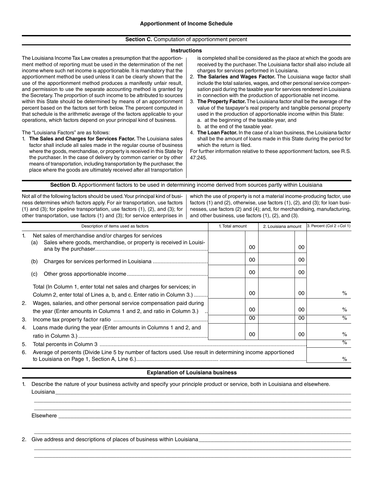### **Section C.** Computation of apportionment percent

#### **Instructions**

The Louisiana Income Tax Law creates a presumption that the apportionment method of reporting must be used in the determination of the net income where such net income is apportionable. It is mandatory that the apportionment method be used unless it can be clearly shown that the use of the apportionment method produces a manifestly unfair result, and permission to use the separate accounting method is granted by the Secretary. The proportion of such income to be attributed to sources within this State should be determined by means of an apportionment percent based on the factors set forth below. The percent computed in that schedule is the arithmetic average of the factors applicable to your operations, which factors depend on your principal kind of business.

#### The "Louisiana Factors" are as follows:

1. **The Sales and Charges for Services Factor.** The Louisiana sales factor shall include all sales made in the regular course of business where the goods, merchandise, or property is received in this State by the purchaser. In the case of delivery by common carrier or by other means of transportation, including transportation by the purchaser, the place where the goods are ultimately received after all transportation

#### is completed shall be considered as the place at which the goods are received by the purchaser. The Louisiana factor shall also include all charges for services performed in Louisiana.

- 2. **The Salaries and Wages Factor.** The Louisiana wage factor shall include the total salaries, wages, and other personal service compensation paid during the taxable year for services rendered in Louisiana in connection with the production of apportionable net income.
- 3. **The Property Factor.** The Louisiana factor shall be the average of the value of the taxpayer's real property and tangible personal property used in the production of apportionable income within this State: a. at the beginning of the taxable year, and
	- b. at the end of the taxable year.
- 4. **The Loan Factor.** In the case of a loan business, the Louisiana factor shall be the amount of loans made in this State during the period for which the return is filed.

For further information relative to these apportionment factors, see R.S. 47:245.

## **Section D.** Apportionment factors to be used in determining income derived from sources partly within Louisiana

Not all of the following factors should be used. Your principal kind of business determines which factors apply. For air transportation, use factors (1) and (3); for pipeline transportation, use factors (1), (2), and (3); for other transportation, use factors (1) and (3); for service enterprises in

which the use of property is not a material income-producing factor, use factors (1) and (2), otherwise, use factors (1), (2), and (3); for loan businesses, use factors (2) and (4); and, for merchandising, manufacturing, and other business, use factors (1), (2), and (3).

|    | Description of items used as factors                                                                                                            | 1. Total amount | 2. Louisiana amount | 3. Percent (Col $2 \div$ Col 1) |
|----|-------------------------------------------------------------------------------------------------------------------------------------------------|-----------------|---------------------|---------------------------------|
| 1. | Net sales of merchandise and/or charges for services<br>Sales where goods, merchandise, or property is received in Louisi-<br>(a)               | 00              | 00                  |                                 |
|    | (b)                                                                                                                                             | 00              | 00                  |                                 |
|    | (c)                                                                                                                                             | 00              | 00                  |                                 |
|    | Total (In Column 1, enter total net sales and charges for services; in<br>Column 2, enter total of Lines a, b, and c. Enter ratio in Column 3.) | 00              | 00                  | $\%$                            |
| 2. | Wages, salaries, and other personal service compensation paid during<br>the year (Enter amounts in Columns 1 and 2, and ratio in Column 3.)     | 00              | 00                  | $\%$                            |
| 3. |                                                                                                                                                 | 00              | 00                  | $\%$                            |
| 4. | Loans made during the year (Enter amounts in Columns 1 and 2, and                                                                               | 00              | 00                  | $\%$                            |
| 5. |                                                                                                                                                 |                 |                     | $\%$                            |
| 6. | Average of percents (Divide Line 5 by number of factors used. Use result in determining income apportioned                                      |                 |                     | $\%$                            |

#### **Explanation of Louisiana business**

\_\_\_\_\_\_\_\_\_\_\_\_\_\_\_\_\_\_\_\_\_\_\_\_\_\_\_\_\_\_\_\_\_\_\_\_\_\_\_\_\_\_\_\_\_\_\_\_\_\_\_\_\_\_\_\_\_\_\_\_\_\_\_\_\_\_\_\_\_\_\_\_\_\_\_\_\_\_\_\_\_\_\_\_\_\_\_\_\_\_\_\_\_\_\_\_\_\_\_\_\_\_\_\_ \_\_\_\_\_\_\_\_\_\_\_\_\_\_\_\_\_\_\_\_\_\_\_\_\_\_\_\_\_\_\_\_\_\_\_\_\_\_\_\_\_\_\_\_\_\_\_\_\_\_\_\_\_\_\_\_\_\_\_\_\_\_\_\_\_\_\_\_\_\_\_\_\_\_\_\_\_\_\_\_\_\_\_\_\_\_\_\_\_\_\_\_\_\_\_\_\_\_\_\_\_\_\_\_

\_\_\_\_\_\_\_\_\_\_\_\_\_\_\_\_\_\_\_\_\_\_\_\_\_\_\_\_\_\_\_\_\_\_\_\_\_\_\_\_\_\_\_\_\_\_\_\_\_\_\_\_\_\_\_\_\_\_\_\_\_\_\_\_\_\_\_\_\_\_\_\_\_\_\_\_\_\_\_\_\_\_\_\_\_\_\_\_\_\_\_\_\_\_\_\_\_\_\_\_\_\_\_\_

\_\_\_\_\_\_\_\_\_\_\_\_\_\_\_\_\_\_\_\_\_\_\_\_\_\_\_\_\_\_\_\_\_\_\_\_\_\_\_\_\_\_\_\_\_\_\_\_\_\_\_\_\_\_\_\_\_\_\_\_\_\_\_\_\_\_\_\_\_\_\_\_\_\_\_\_\_\_\_\_\_\_\_\_\_\_\_\_\_\_\_\_\_\_\_\_\_\_\_\_\_\_\_\_ \_\_\_\_\_\_\_\_\_\_\_\_\_\_\_\_\_\_\_\_\_\_\_\_\_\_\_\_\_\_\_\_\_\_\_\_\_\_\_\_\_\_\_\_\_\_\_\_\_\_\_\_\_\_\_\_\_\_\_\_\_\_\_\_\_\_\_\_\_\_\_\_\_\_\_\_\_\_\_\_\_\_\_\_\_\_\_\_\_\_\_\_\_\_\_\_\_\_\_\_\_\_\_\_

1. Describe the nature of your business activity and specify your principle product or service, both in Louisiana and elsewhere. Louisiana\_\_\_\_\_\_\_\_\_\_\_\_\_\_\_\_\_\_\_\_\_\_\_\_\_\_\_\_\_\_\_\_\_\_\_\_\_\_\_\_\_\_\_\_\_\_\_\_\_\_\_\_\_\_\_\_\_\_\_\_\_\_\_\_\_\_\_\_\_\_\_\_\_\_\_\_\_\_\_\_\_\_\_\_\_\_\_\_\_\_\_\_\_\_\_\_\_

Elsewhere \_\_\_\_\_\_\_\_\_\_\_\_\_\_\_\_\_\_\_\_\_\_\_\_\_\_\_\_\_\_\_\_\_\_\_\_\_\_\_\_\_\_\_\_\_\_\_\_\_\_\_\_\_\_\_\_\_\_\_\_\_\_\_\_\_\_\_\_\_\_\_\_\_\_\_\_\_\_\_\_\_\_\_\_\_\_\_\_\_\_\_\_\_\_\_\_

2. Give address and descriptions of places of business within Louisiana